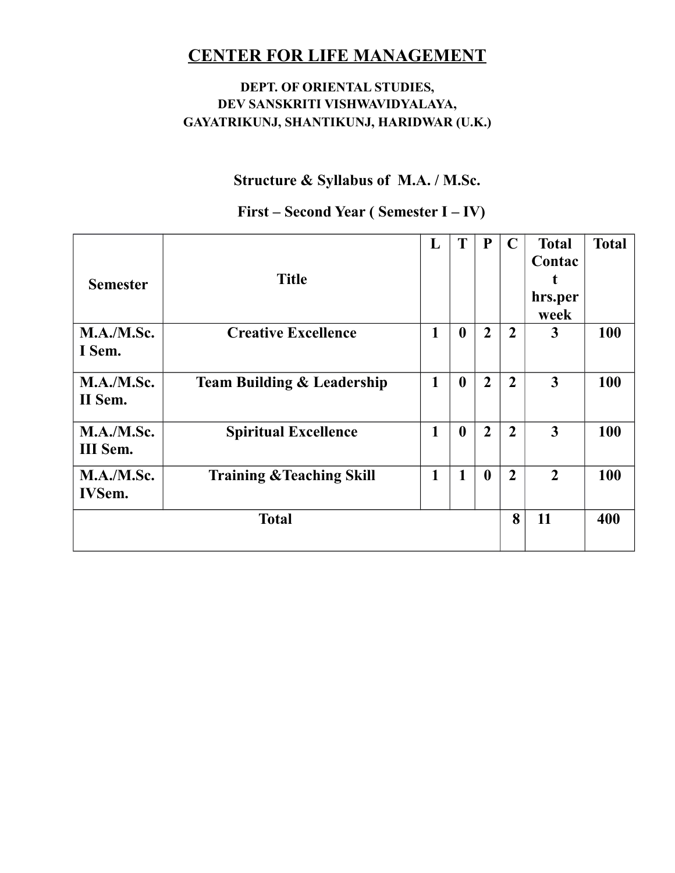### **DEPT. OF ORIENTAL STUDIES, DEV SANSKRITI VISHWAVIDYALAYA, GAYATRIKUNJ, SHANTIKUNJ, HARIDWAR (U.K.)**

## **Structure & Syllabus of M.A. / M.Sc.**

| <b>Semester</b>             | <b>Title</b>                          | L            | T                | P              | $\mathbf C$    | <b>Total</b><br>Contac<br>t<br>hrs.per<br>week | <b>Total</b> |
|-----------------------------|---------------------------------------|--------------|------------------|----------------|----------------|------------------------------------------------|--------------|
| M.A./M.Sc.<br>I Sem.        | <b>Creative Excellence</b>            | 1            | $\boldsymbol{0}$ | $\overline{2}$ | $\overline{2}$ | $\mathbf{3}$                                   | <b>100</b>   |
| M.A./M.Sc.<br>II Sem.       | <b>Team Building &amp; Leadership</b> | 1            | $\boldsymbol{0}$ | $\overline{2}$ | $\overline{2}$ | $\overline{3}$                                 | 100          |
| M.A./M.Sc.<br>III Sem.      | <b>Spiritual Excellence</b>           | 1            | $\boldsymbol{0}$ | $\overline{2}$ | $\overline{2}$ | 3                                              | 100          |
| M.A./M.Sc.<br><b>IVSem.</b> | <b>Training &amp; Teaching Skill</b>  | $\mathbf{1}$ | 1                | $\mathbf{0}$   | $\overline{2}$ | $\overline{2}$                                 | 100          |
|                             | <b>Total</b>                          |              |                  |                | 8              | 11                                             | 400          |

### **First – Second Year ( Semester I – IV)**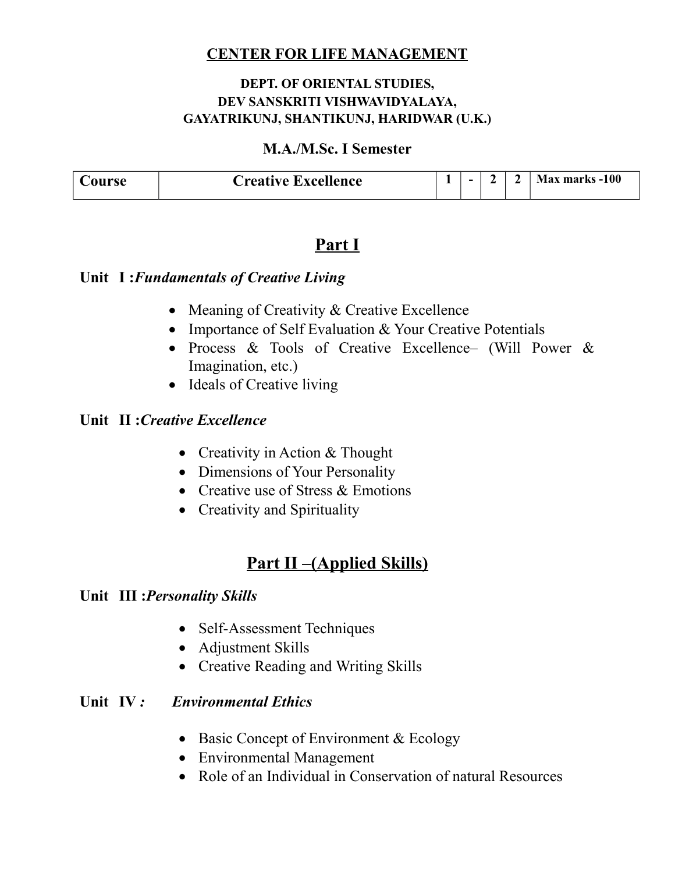#### **DEPT. OF ORIENTAL STUDIES, DEV SANSKRITI VISHWAVIDYALAYA, GAYATRIKUNJ, SHANTIKUNJ, HARIDWAR (U.K.)**

#### **M.A./M.Sc. I Semester**

| `ourse | <b>Creative Excellence</b> | - | - |  | Max marks -100 |
|--------|----------------------------|---|---|--|----------------|

## **Part I**

#### **Unit I :***Fundamentals of Creative Living*

- Meaning of Creativity & Creative Excellence
- Importance of Self Evaluation & Your Creative Potentials
- Process & Tools of Creative Excellence– (Will Power & Imagination, etc.)
- Ideals of Creative living

### **Unit II :***Creative Excellence*

- Creativity in Action & Thought
- Dimensions of Your Personality
- Creative use of Stress & Emotions
- Creativity and Spirituality

## **Part II –(Applied Skills)**

#### **Unit III :***Personality Skills*

- Self-Assessment Techniques
- Adjustment Skills
- Creative Reading and Writing Skills

#### **Unit IV**: *Environmental Ethics*

- Basic Concept of Environment & Ecology
- Environmental Management
- Role of an Individual in Conservation of natural Resources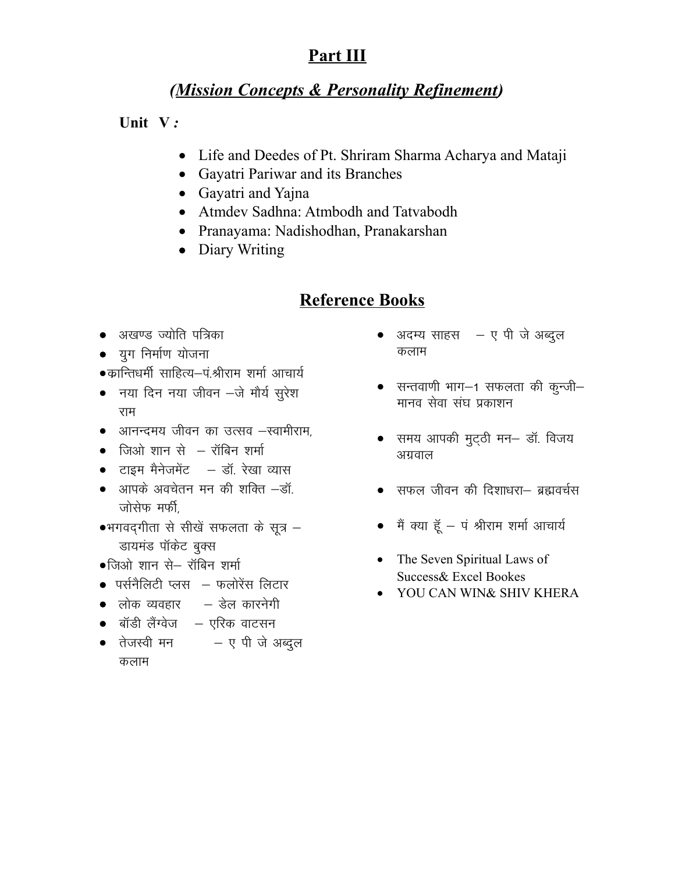# **Part III**

# *(Mission Concepts & Personality Refinement)*

### **Unit V** *:*

- Life and Deedes of Pt. Shriram Sharma Acharya and Mataji
- Gayatri Pariwar and its Branches
- Gayatri and Yajna
- Atmdev Sadhna: Atmbodh and Tatvabodh
- Pranayama: Nadishodhan, Pranakarshan
- Diary Writing

# **Reference Books**

- अखण्ड ज्योति पत्रिका
- $\bullet$  युग निर्माण योजना
- $\bullet$ कान्तिधर्मी साहित्य–पं.श्रीराम शर्मा आचार्य
- $\bullet$  नया दिन नया जीवन  $-\overrightarrow{a}$  मौर्य सुरेश राम
- $\bullet$  अानन्दमय जीवन का उत्सव –स्वामीराम,
- $\bullet$  जिओ शान से  $-$  रॉबिन शर्मा
- $\bullet$  टाइम मैनेजमेंट  $-$  डॉ. रेखा व्यास
- $\bullet$  अापके अवचेतन मन की शक्ति  $-\vec{a}$ जोसेफ मर्फी
- $\bullet$ भगवद्गीता से सीखें सफलता के सूत्र  $-$ डायमंड पॉकेट बुक्स
- $\bullet$ जिओ शान से– रॉबिन शर्मा
- $\bullet$  पर्सनैलिटी प्लस $\,$  फलोरेंस लिटार
- $\bullet$  लोक व्यवहार  $\quad$  डेल कारनेगी
- $\bullet$  बॉडी लैंग्वेज  $\,$  एरिक वाटसन
- तेजस्वी मन $-$ ए पी जे अब्दल कलाम
- $\bullet$  अदम्य साहस $\quad -$  ए पी जे अब्दुल कलाम
- $\bullet$  सन्तवाणी भाग $-1$  सफलता की कुन्जी $-$ मानव सेवा संघ प्रकाशन
- समय आपकी मुट्ठी मन- डॉ. विजय अग्रवाल
- सफल जीवन की दिशाधरा– ब्रह्मवर्चस
- $\bullet$  मैं क्या हूँ पं श्रीराम शर्मा आचार्य
- The Seven Spiritual Laws of Success& Excel Bookes
- YOU CAN WIN& SHIV KHERA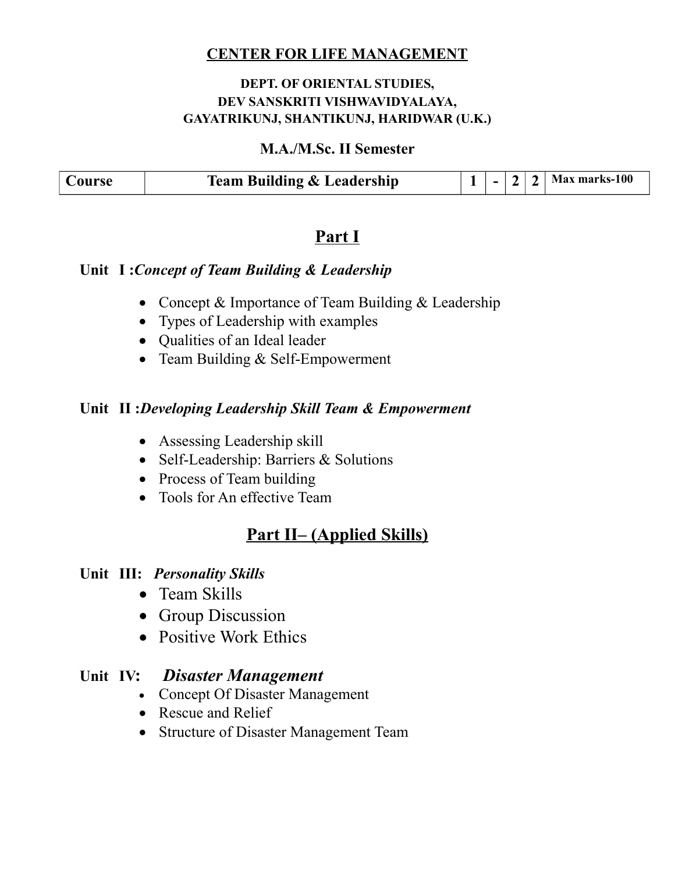### **DEPT. OF ORIENTAL STUDIES, DEV SANSKRITI VISHWAVIDYALAYA, GAYATRIKUNJ, SHANTIKUNJ, HARIDWAR (U.K.)**

#### **M.A./M.Sc. II Semester**

| Course | <b>Team Building &amp; Leadership</b> | 11111 | - | $\mathbf{\Omega}$ | Max marks-100 |
|--------|---------------------------------------|-------|---|-------------------|---------------|

## **Part I**

### **Unit I :***Concept of Team Building & Leadership*

- Concept & Importance of Team Building & Leadership
- Types of Leadership with examples
- Qualities of an Ideal leader
- Team Building & Self-Empowerment

### **Unit II :***Developing Leadership Skill Team & Empowerment*

- Assessing Leadership skill
- Self-Leadership: Barriers & Solutions
- Process of Team building
- Tools for An effective Team

# **Part II– (Applied Skills)**

#### **Unit III:** *Personality Skills*

- Team Skills
- Group Discussion
- Positive Work Ethics

#### **Unit IV:** *Disaster Management*

- Concept Of Disaster Management
- Rescue and Relief
- Structure of Disaster Management Team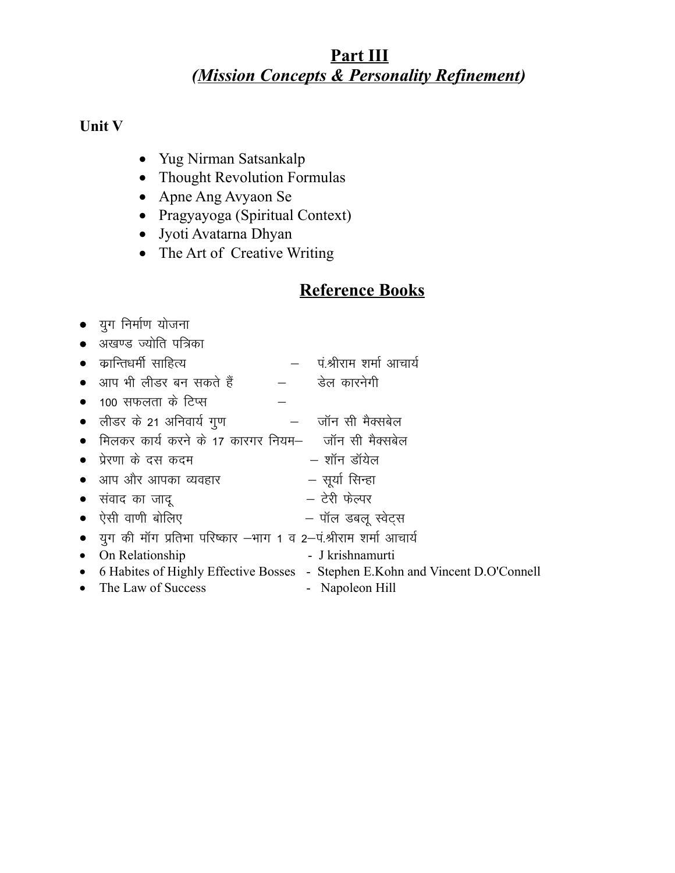# Part III (Mission Concepts & Personality Refinement)

### Unit V

- Yug Nirman Satsankalp
- Thought Revolution Formulas
- Apne Ang Avyaon Se
- Pragyayoga (Spiritual Context)
- Jyoti Avatarna Dhyan
- The Art of Creative Writing

# **Reference Books**

|  |  |  | यग निर्माण योजना |  |
|--|--|--|------------------|--|
|--|--|--|------------------|--|

• अखण्ड ज्योति पत्रिका

| •    कान्तिधर्मी  साहित्य | पं श्रीराम शर्मा आचार्य |
|---------------------------|-------------------------|
| • आप भी लीडर बन सकते हैं  | डेल कारनेगी             |

- $\bullet$  100 सफलता के टिप्स
- लीडर के 21 अनिवार्य गुण —— जॉन सी मैक्सबेल
- मिलकर कार्य करने के 17 कारगर नियम– जॉन सी मैक्सबेल
- प्रेरणा के दस कदम — शॉन डॉयेल
- सूर्या सिन्हा • आप और आपका व्यवहार
- टेरी फेल्पर • संवाद का जाद
- ऐसी वाणी बोलिए – पॉल डबलू स्वेट्स
- युग की मॉग प्रतिभा परिष्कार –भाग 1 व 2–पं.श्रीराम शर्मा आचार्य
- On Relationship - J krishnamurti
- 6 Habites of Highly Effective Bosses Stephen E.Kohn and Vincent D.O'Connell
- $\bullet$  The Law of Success
- Napoleon Hill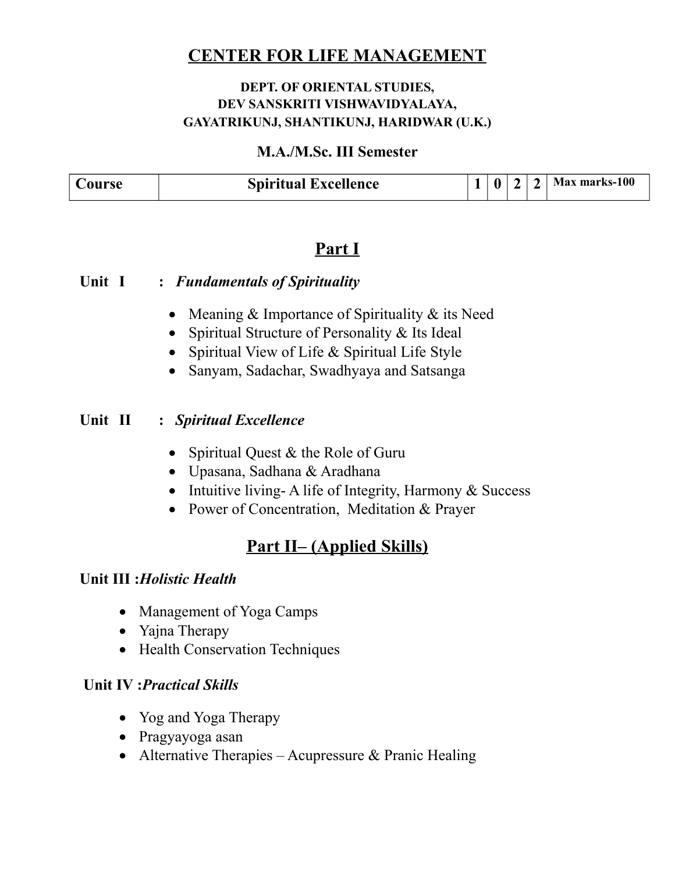### **DEPT. OF ORIENTAL STUDIES, DEV SANSKRITI VISHWAVIDYALAYA, GAYATRIKUNJ, SHANTIKUNJ, HARIDWAR (U.K.)**

#### **M.A./M.Sc. III Semester**

| Course | <b>Spiritual Excellence</b> |  | $\sim$ | $\mathbf{\hat{}}$ | Max marks-100 |
|--------|-----------------------------|--|--------|-------------------|---------------|

## **Part I**

#### **Unit I :** *Fundamentals of Spirituality*

- Meaning  $&$  Importance of Spirituality  $&$  its Need
- Spiritual Structure of Personality & Its Ideal
- Spiritual View of Life & Spiritual Life Style
- Sanyam, Sadachar, Swadhyaya and Satsanga

### **Unit II :** *Spiritual Excellence*

- Spiritual Quest & the Role of Guru
- Upasana, Sadhana & Aradhana
- Intuitive living-A life of Integrity, Harmony  $&$  Success
- Power of Concentration, Meditation & Prayer

# **Part II– (Applied Skills)**

### **Unit III :***Holistic Health*

- Management of Yoga Camps
- Yajna Therapy
- Health Conservation Techniques

### **Unit IV :***Practical Skills*

- Yog and Yoga Therapy
- Pragyayoga asan
- Alternative Therapies Acupressure  $&$  Pranic Healing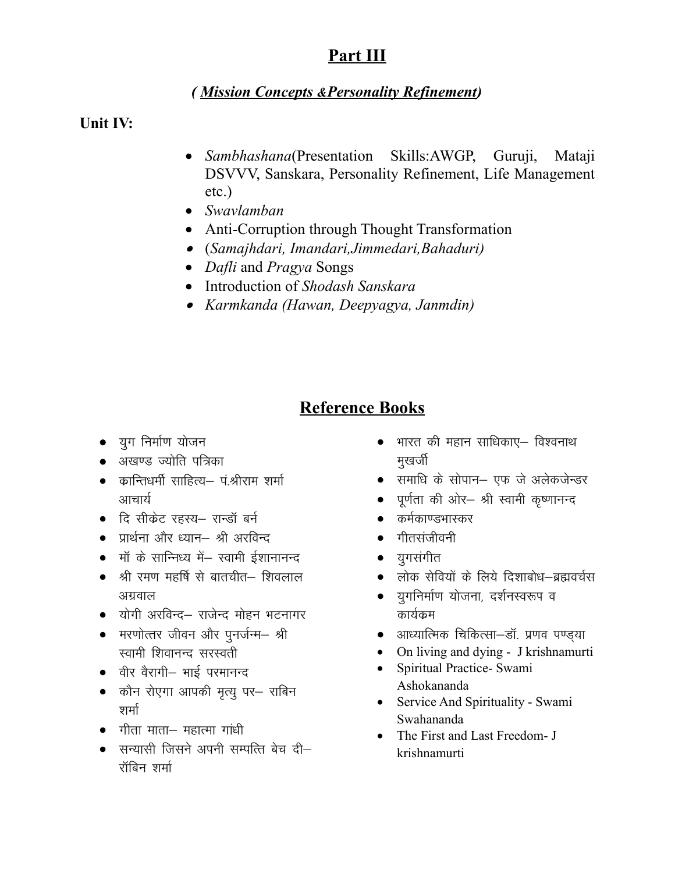# Part III

### (Mission Concepts & Personality Refinement)

Unit IV:

- Sambhashana(Presentation Skills:AWGP, Guruji, Mataji DSVVV, Sanskara, Personality Refinement, Life Management  $etc.$ )
- Swavlamban
- Anti-Corruption through Thought Transformation
- (Samajhdari, Imandari, Jimmedari, Bahaduri)
- Dafli and Pragya Songs
- Introduction of Shodash Sanskara
- Karmkanda (Hawan, Deepyagya, Janmdin)

# **Reference Books**

- युग निर्माण योजन
- अखण्ड ज्योति पत्रिका
- कान्तिधर्मी साहित्य— पंश्रीराम शर्मा आचार्य
- दि सीक्रेट रहस्य– रान्डॉ बर्न
- प्रार्थना और ध्यान– श्री अरविन्द
- मॉं के सान्निध्य में– स्वामी ईशानानन्द
- श्री रमण महर्षि से बातचीत– शिवलाल अगवाल
- योगी अरविन्द– राजेन्द मोहन भटनागर
- मरणोत्तर जीवन और पुनर्जन्म– श्री स्वामी शिवानन्द सरस्वती
- वीर वैरागी- भाई परमानन्द
- कौन रोएगा आपकी मृत्यू पर– राबिन शर्मा
- $\bullet$  गीता माता— महात्मा गांधी
- सन्यासी जिसने अपनी सम्पत्ति बेच दी– रॉबिन शर्मा
- भारत की महान साधिकाए– विश्वनाथ मुखर्जी
- समाधि के सोपान– एफ जे अलेकजेन्डर
- पूर्णता की ओर- श्री स्वामी कृष्णानन्द
- कर्मकाण्डभास्कर
- गीतसंजीवनी
- युगसंगीत
- लोक सेवियों के लिये दिशाबोध–ब्रह्मवर्चस
- यगनिर्माण योजना, दर्शनस्वरूप व कार्यक्रम
- आध्यात्मिक चिकित्सा–डॉ. प्रणव पण्ड्या
- On living and dying J krishnamurti
- Spiritual Practice- Swami  $\bullet$ Ashokananda
- Service And Spirituality Swami Swahananda
- $\bullet$  The First and Last Freedom- J krishnamurti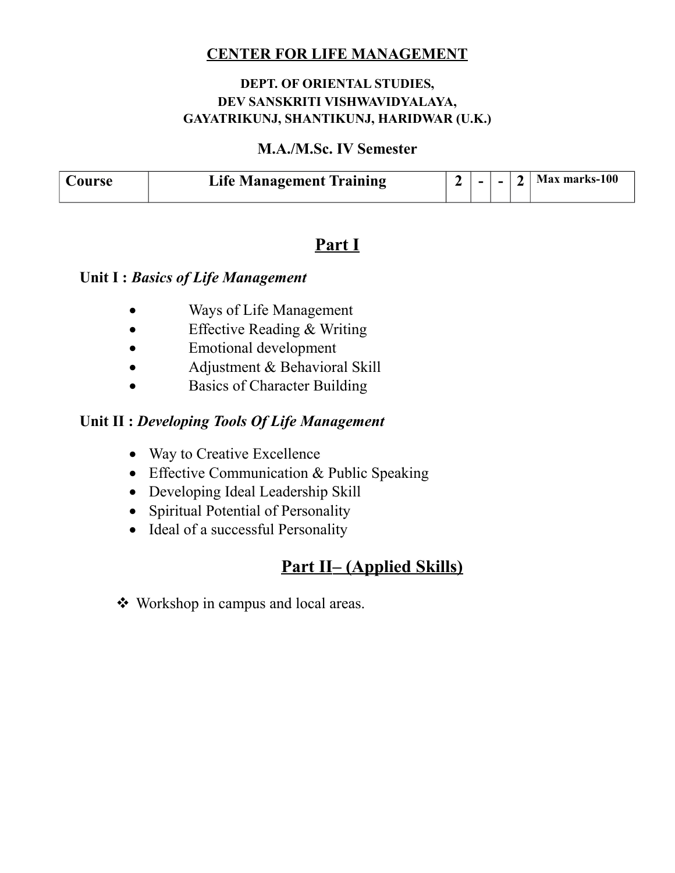#### **DEPT. OF ORIENTAL STUDIES, DEV SANSKRITI VISHWAVIDYALAYA, GAYATRIKUNJ, SHANTIKUNJ, HARIDWAR (U.K.)**

#### **M.A./M.Sc. IV Semester**

| dourse : | <b>Life Management Training</b> | $\blacksquare$ |  | Max marks-100 |
|----------|---------------------------------|----------------|--|---------------|

## **Part I**

#### **Unit I :** *Basics of Life Management*

- Ways of Life Management
- Effective Reading & Writing
- Emotional development
- Adjustment & Behavioral Skill
- Basics of Character Building

### **Unit II :** *Developing Tools Of Life Management*

- Way to Creative Excellence
- Effective Communication & Public Speaking
- Developing Ideal Leadership Skill
- Spiritual Potential of Personality
- Ideal of a successful Personality

# **Part II– (Applied Skills)**

Workshop in campus and local areas.